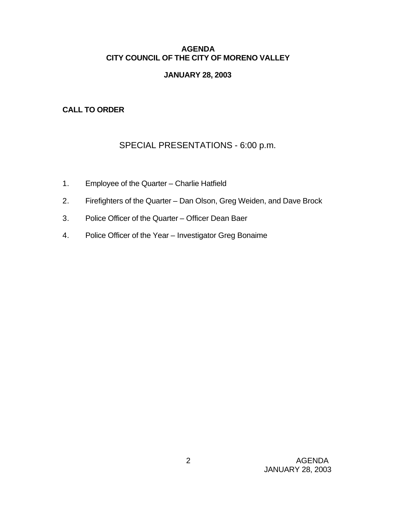### **AGENDA CITY COUNCIL OF THE CITY OF MORENO VALLEY**

### **JANUARY 28, 2003**

## **CALL TO ORDER**

# SPECIAL PRESENTATIONS - 6:00 p.m.

- 1. Employee of the Quarter Charlie Hatfield
- 2. Firefighters of the Quarter Dan Olson, Greg Weiden, and Dave Brock
- 3. Police Officer of the Quarter Officer Dean Baer
- 4. Police Officer of the Year Investigator Greg Bonaime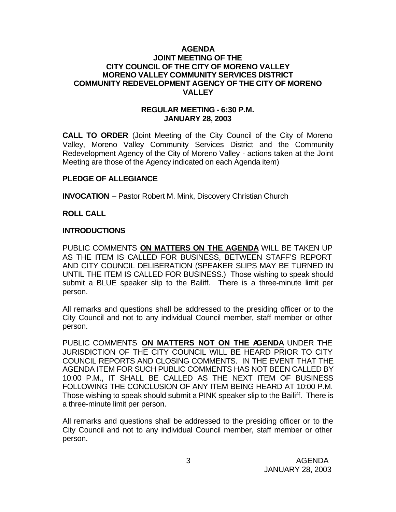#### **AGENDA JOINT MEETING OF THE CITY COUNCIL OF THE CITY OF MORENO VALLEY MORENO VALLEY COMMUNITY SERVICES DISTRICT COMMUNITY REDEVELOPMENT AGENCY OF THE CITY OF MORENO VALLEY**

#### **REGULAR MEETING - 6:30 P.M. JANUARY 28, 2003**

**CALL TO ORDER** (Joint Meeting of the City Council of the City of Moreno Valley, Moreno Valley Community Services District and the Community Redevelopment Agency of the City of Moreno Valley - actions taken at the Joint Meeting are those of the Agency indicated on each Agenda item)

#### **PLEDGE OF ALLEGIANCE**

**INVOCATION** – Pastor Robert M. Mink, Discovery Christian Church

#### **ROLL CALL**

#### **INTRODUCTIONS**

PUBLIC COMMENTS **ON MATTERS ON THE AGENDA** WILL BE TAKEN UP AS THE ITEM IS CALLED FOR BUSINESS, BETWEEN STAFF'S REPORT AND CITY COUNCIL DELIBERATION (SPEAKER SLIPS MAY BE TURNED IN UNTIL THE ITEM IS CALLED FOR BUSINESS.) Those wishing to speak should submit a BLUE speaker slip to the Bailiff. There is a three-minute limit per person.

All remarks and questions shall be addressed to the presiding officer or to the City Council and not to any individual Council member, staff member or other person.

PUBLIC COMMENTS **ON MATTERS NOT ON THE AGENDA** UNDER THE JURISDICTION OF THE CITY COUNCIL WILL BE HEARD PRIOR TO CITY COUNCIL REPORTS AND CLOSING COMMENTS. IN THE EVENT THAT THE AGENDA ITEM FOR SUCH PUBLIC COMMENTS HAS NOT BEEN CALLED BY 10:00 P.M., IT SHALL BE CALLED AS THE NEXT ITEM OF BUSINESS FOLLOWING THE CONCLUSION OF ANY ITEM BEING HEARD AT 10:00 P.M. Those wishing to speak should submit a PINK speaker slip to the Bailiff. There is a three-minute limit per person.

All remarks and questions shall be addressed to the presiding officer or to the City Council and not to any individual Council member, staff member or other person.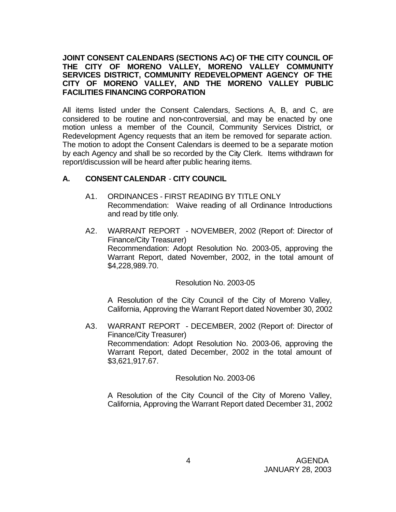#### **JOINT CONSENT CALENDARS (SECTIONS A-C) OF THE CITY COUNCIL OF THE CITY OF MORENO VALLEY, MORENO VALLEY COMMUNITY SERVICES DISTRICT, COMMUNITY REDEVELOPMENT AGENCY OF THE CITY OF MORENO VALLEY, AND THE MORENO VALLEY PUBLIC FACILITIES FINANCING CORPORATION**

All items listed under the Consent Calendars, Sections A, B, and C, are considered to be routine and non-controversial, and may be enacted by one motion unless a member of the Council, Community Services District, or Redevelopment Agency requests that an item be removed for separate action. The motion to adopt the Consent Calendars is deemed to be a separate motion by each Agency and shall be so recorded by the City Clerk. Items withdrawn for report/discussion will be heard after public hearing items.

# **A. CONSENT CALENDAR** - **CITY COUNCIL**

- A1. ORDINANCES FIRST READING BY TITLE ONLY Recommendation: Waive reading of all Ordinance Introductions and read by title only.
- A2. WARRANT REPORT NOVEMBER, 2002 (Report of: Director of Finance/City Treasurer) Recommendation: Adopt Resolution No. 2003-05, approving the Warrant Report, dated November, 2002, in the total amount of \$4,228,989.70.

### Resolution No. 2003-05

A Resolution of the City Council of the City of Moreno Valley, California, Approving the Warrant Report dated November 30, 2002

A3. WARRANT REPORT - DECEMBER, 2002 (Report of: Director of Finance/City Treasurer) Recommendation: Adopt Resolution No. 2003-06, approving the Warrant Report, dated December, 2002 in the total amount of \$3,621,917.67.

### Resolution No. 2003-06

A Resolution of the City Council of the City of Moreno Valley, California, Approving the Warrant Report dated December 31, 2002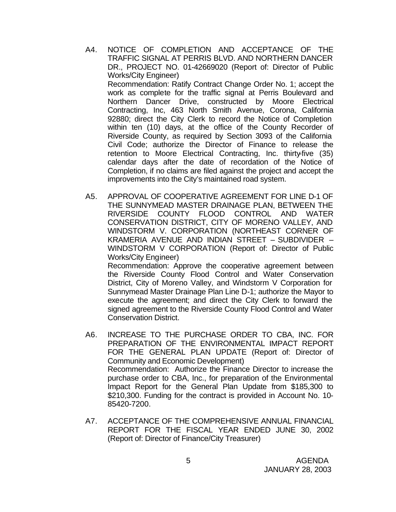- A4. NOTICE OF COMPLETION AND ACCEPTANCE OF THE TRAFFIC SIGNAL AT PERRIS BLVD. AND NORTHERN DANCER DR., PROJECT NO. 01-42669020 (Report of: Director of Public Works/City Engineer) Recommendation: Ratify Contract Change Order No. 1; accept the work as complete for the traffic signal at Perris Boulevard and Northern Dancer Drive, constructed by Moore Electrical Contracting, Inc, 463 North Smith Avenue, Corona, California 92880; direct the City Clerk to record the Notice of Completion within ten (10) days, at the office of the County Recorder of Riverside County, as required by Section 3093 of the California Civil Code; authorize the Director of Finance to release the retention to Moore Electrical Contracting, Inc. thirty-five (35) calendar days after the date of recordation of the Notice of Completion, if no claims are filed against the project and accept the improvements into the City's maintained road system.
- A5. APPROVAL OF COOPERATIVE AGREEMENT FOR LINE D-1 OF THE SUNNYMEAD MASTER DRAINAGE PLAN, BETWEEN THE RIVERSIDE COUNTY FLOOD CONTROL AND WATER CONSERVATION DISTRICT, CITY OF MORENO VALLEY, AND WINDSTORM V. CORPORATION (NORTHEAST CORNER OF KRAMERIA AVENUE AND INDIAN STREET – SUBDIVIDER – WINDSTORM V CORPORATION (Report of: Director of Public Works/City Engineer)

Recommendation: Approve the cooperative agreement between the Riverside County Flood Control and Water Conservation District, City of Moreno Valley, and Windstorm V Corporation for Sunnymead Master Drainage Plan Line D-1; authorize the Mayor to execute the agreement; and direct the City Clerk to forward the signed agreement to the Riverside County Flood Control and Water Conservation District.

- A6. INCREASE TO THE PURCHASE ORDER TO CBA, INC. FOR PREPARATION OF THE ENVIRONMENTAL IMPACT REPORT FOR THE GENERAL PLAN UPDATE (Report of: Director of Community and Economic Development) Recommendation: Authorize the Finance Director to increase the purchase order to CBA, Inc., for preparation of the Environmental Impact Report for the General Plan Update from \$185,300 to \$210,300. Funding for the contract is provided in Account No. 10-85420-7200.
- A7. ACCEPTANCE OF THE COMPREHENSIVE ANNUAL FINANCIAL REPORT FOR THE FISCAL YEAR ENDED JUNE 30, 2002 (Report of: Director of Finance/City Treasurer)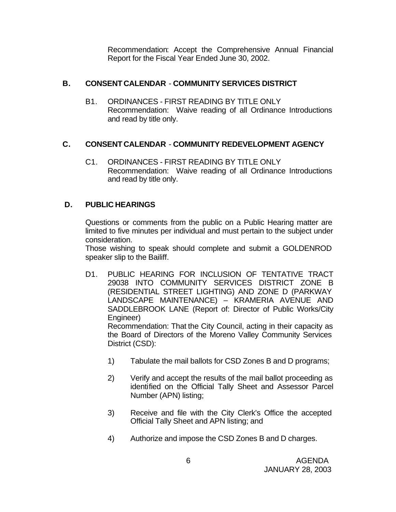Recommendation: Accept the Comprehensive Annual Financial Report for the Fiscal Year Ended June 30, 2002.

# **B. CONSENT CALENDAR** - **COMMUNITY SERVICES DISTRICT**

B1. ORDINANCES - FIRST READING BY TITLE ONLY Recommendation: Waive reading of all Ordinance Introductions and read by title only.

## **C. CONSENT CALENDAR** - **COMMUNITY REDEVELOPMENT AGENCY**

C1. ORDINANCES - FIRST READING BY TITLE ONLY Recommendation: Waive reading of all Ordinance Introductions and read by title only.

## **D. PUBLIC HEARINGS**

Questions or comments from the public on a Public Hearing matter are limited to five minutes per individual and must pertain to the subject under consideration.

Those wishing to speak should complete and submit a GOLDENROD speaker slip to the Bailiff.

D1. PUBLIC HEARING FOR INCLUSION OF TENTATIVE TRACT 29038 INTO COMMUNITY SERVICES DISTRICT ZONE B (RESIDENTIAL STREET LIGHTING) AND ZONE D (PARKWAY LANDSCAPE MAINTENANCE) – KRAMERIA AVENUE AND SADDLEBROOK LANE (Report of: Director of Public Works/City Engineer)

Recommendation: That the City Council, acting in their capacity as the Board of Directors of the Moreno Valley Community Services District (CSD):

- 1) Tabulate the mail ballots for CSD Zones B and D programs;
- 2) Verify and accept the results of the mail ballot proceeding as identified on the Official Tally Sheet and Assessor Parcel Number (APN) listing;
- 3) Receive and file with the City Clerk's Office the accepted Official Tally Sheet and APN listing; and
- 4) Authorize and impose the CSD Zones B and D charges.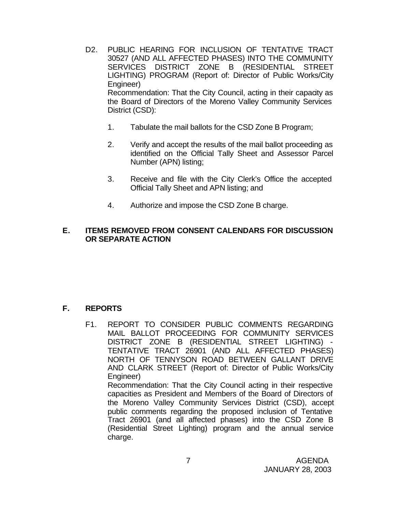- D2. PUBLIC HEARING FOR INCLUSION OF TENTATIVE TRACT 30527 (AND ALL AFFECTED PHASES) INTO THE COMMUNITY SERVICES DISTRICT ZONE B (RESIDENTIAL STREET LIGHTING) PROGRAM (Report of: Director of Public Works/City Engineer) Recommendation: That the City Council, acting in their capacity as the Board of Directors of the Moreno Valley Community Services District (CSD):
	- 1. Tabulate the mail ballots for the CSD Zone B Program;
	- 2. Verify and accept the results of the mail ballot proceeding as identified on the Official Tally Sheet and Assessor Parcel Number (APN) listing;
	- 3. Receive and file with the City Clerk's Office the accepted Official Tally Sheet and APN listing; and
	- 4. Authorize and impose the CSD Zone B charge.

## **E. ITEMS REMOVED FROM CONSENT CALENDARS FOR DISCUSSION OR SEPARATE ACTION**

# **F. REPORTS**

F1. REPORT TO CONSIDER PUBLIC COMMENTS REGARDING MAIL BALLOT PROCEEDING FOR COMMUNITY SERVICES DISTRICT ZONE B (RESIDENTIAL STREET LIGHTING) - TENTATIVE TRACT 26901 (AND ALL AFFECTED PHASES) NORTH OF TENNYSON ROAD BETWEEN GALLANT DRIVE AND CLARK STREET (Report of: Director of Public Works/City Engineer) Recommendation: That the City Council acting in their respective capacities as President and Members of the Board of Directors of the Moreno Valley Community Services District (CSD), accept public comments regarding the proposed inclusion of Tentative Tract 26901 (and all affected phases) into the CSD Zone B (Residential Street Lighting) program and the annual service charge.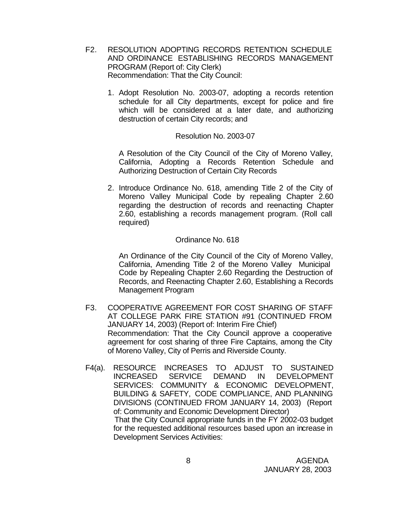- F2. RESOLUTION ADOPTING RECORDS RETENTION SCHEDULE AND ORDINANCE ESTABLISHING RECORDS MANAGEMENT PROGRAM (Report of: City Clerk) Recommendation: That the City Council:
	- 1. Adopt Resolution No. 2003-07, adopting a records retention schedule for all City departments, except for police and fire which will be considered at a later date, and authorizing destruction of certain City records; and

#### Resolution No. 2003-07

A Resolution of the City Council of the City of Moreno Valley, California, Adopting a Records Retention Schedule and Authorizing Destruction of Certain City Records

2. Introduce Ordinance No. 618, amending Title 2 of the City of Moreno Valley Municipal Code by repealing Chapter 2.60 regarding the destruction of records and reenacting Chapter 2.60, establishing a records management program. (Roll call required)

#### Ordinance No. 618

An Ordinance of the City Council of the City of Moreno Valley, California, Amending Title 2 of the Moreno Valley Municipal Code by Repealing Chapter 2.60 Regarding the Destruction of Records, and Reenacting Chapter 2.60, Establishing a Records Management Program

- F3. COOPERATIVE AGREEMENT FOR COST SHARING OF STAFF AT COLLEGE PARK FIRE STATION #91 (CONTINUED FROM JANUARY 14, 2003) (Report of: Interim Fire Chief) Recommendation: That the City Council approve a cooperative agreement for cost sharing of three Fire Captains, among the City of Moreno Valley, City of Perris and Riverside County.
- F4(a). RESOURCE INCREASES TO ADJUST TO SUSTAINED INCREASED SERVICE DEMAND IN DEVELOPMENT SERVICES: COMMUNITY & ECONOMIC DEVELOPMENT, BUILDING & SAFETY, CODE COMPLIANCE, AND PLANNING DIVISIONS (CONTINUED FROM JANUARY 14, 2003) (Report of: Community and Economic Development Director) That the City Council appropriate funds in the FY 2002-03 budget for the requested additional resources based upon an increase in Development Services Activities: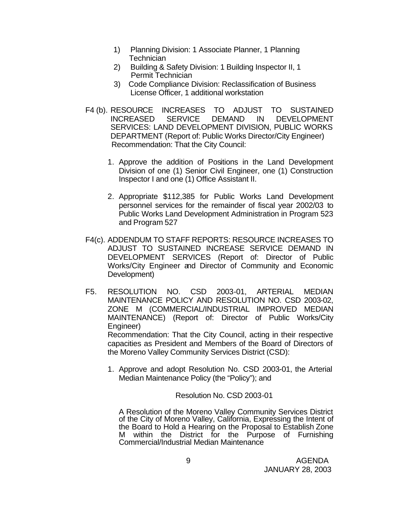- 1) Planning Division: 1 Associate Planner, 1 Planning **Technician**
- 2) Building & Safety Division: 1 Building Inspector II, 1 Permit Technician
- 3) Code Compliance Division: Reclassification of Business License Officer, 1 additional workstation
- F4 (b). RESOURCE INCREASES TO ADJUST TO SUSTAINED INCREASED SERVICE DEMAND IN DEVELOPMENT SERVICES: LAND DEVELOPMENT DIVISION, PUBLIC WORKS DEPARTMENT (Report of: Public Works Director/City Engineer) Recommendation: That the City Council:
	- 1. Approve the addition of Positions in the Land Development Division of one (1) Senior Civil Engineer, one (1) Construction Inspector I and one (1) Office Assistant II.
	- 2. Appropriate \$112,385 for Public Works Land Development personnel services for the remainder of fiscal year 2002/03 to Public Works Land Development Administration in Program 523 and Program 527
- F4(c). ADDENDUM TO STAFF REPORTS: RESOURCE INCREASES TO ADJUST TO SUSTAINED INCREASE SERVICE DEMAND IN DEVELOPMENT SERVICES (Report of: Director of Public Works/City Engineer and Director of Community and Economic Development)
- F5. RESOLUTION NO. CSD 2003-01, ARTERIAL MEDIAN MAINTENANCE POLICY AND RESOLUTION NO. CSD 2003-02, ZONE M (COMMERCIAL/INDUSTRIAL IMPROVED MEDIAN MAINTENANCE) (Report of: Director of Public Works/City Engineer) Recommendation: That the City Council, acting in their respective

capacities as President and Members of the Board of Directors of the Moreno Valley Community Services District (CSD):

1. Approve and adopt Resolution No. CSD 2003-01, the Arterial Median Maintenance Policy (the "Policy"); and

Resolution No. CSD 2003-01

A Resolution of the Moreno Valley Community Services District of the City of Moreno Valley, California, Expressing the Intent of the Board to Hold a Hearing on the Proposal to Establish Zone M within the District for the Purpose of Furnishing Commercial/Industrial Median Maintenance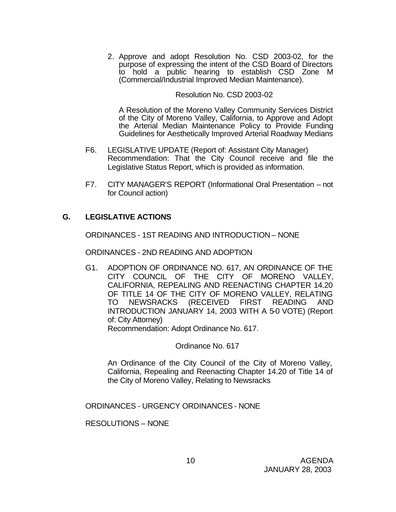2. Approve and adopt Resolution No. CSD 2003-02, for the purpose of expressing the intent of the CSD Board of Directors to hold a public hearing to establish CSD Zone M (Commercial/Industrial Improved Median Maintenance).

#### Resolution No. CSD 2003-02

A Resolution of the Moreno Valley Community Services District of the City of Moreno Valley, California, to Approve and Adopt the Arterial Median Maintenance Policy to Provide Funding Guidelines for Aesthetically Improved Arterial Roadway Medians

- F6. LEGISLATIVE UPDATE (Report of: Assistant City Manager) Recommendation: That the City Council receive and file the Legislative Status Report, which is provided as information.
- F7. CITY MANAGER'S REPORT (Informational Oral Presentation not for Council action)

## **G. LEGISLATIVE ACTIONS**

ORDINANCES - 1ST READING AND INTRODUCTION – NONE

ORDINANCES - 2ND READING AND ADOPTION

G1. ADOPTION OF ORDINANCE NO. 617, AN ORDINANCE OF THE CITY COUNCIL OF THE CITY OF MORENO VALLEY, CALIFORNIA, REPEALING AND REENACTING CHAPTER 14.20 OF TITLE 14 OF THE CITY OF MORENO VALLEY, RELATING<br>TO NEWSRACKS (RECEIVED FIRST READING AND TO NEWSRACKS (RECEIVED FIRST READING AND INTRODUCTION JANUARY 14, 2003 WITH A 5-0 VOTE) (Report of: City Attorney)

Recommendation: Adopt Ordinance No. 617.

Ordinance No. 617

An Ordinance of the City Council of the City of Moreno Valley, California, Repealing and Reenacting Chapter 14.20 of Title 14 of the City of Moreno Valley, Relating to Newsracks

ORDINANCES - URGENCY ORDINANCES - NONE

RESOLUTIONS – NONE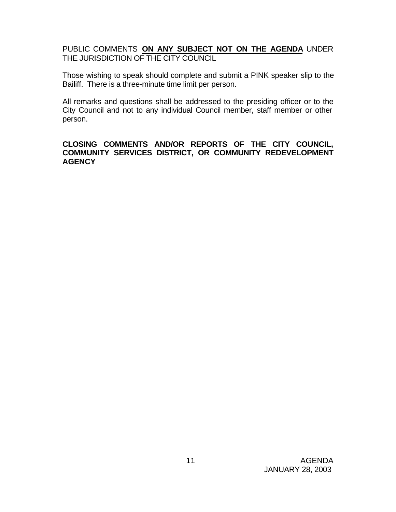PUBLIC COMMENTS **ON ANY SUBJECT NOT ON THE AGENDA** UNDER THE JURISDICTION OF THE CITY COUNCIL

Those wishing to speak should complete and submit a PINK speaker slip to the Bailiff. There is a three-minute time limit per person.

All remarks and questions shall be addressed to the presiding officer or to the City Council and not to any individual Council member, staff member or other person.

### **CLOSING COMMENTS AND/OR REPORTS OF THE CITY COUNCIL, COMMUNITY SERVICES DISTRICT, OR COMMUNITY REDEVELOPMENT AGENCY**